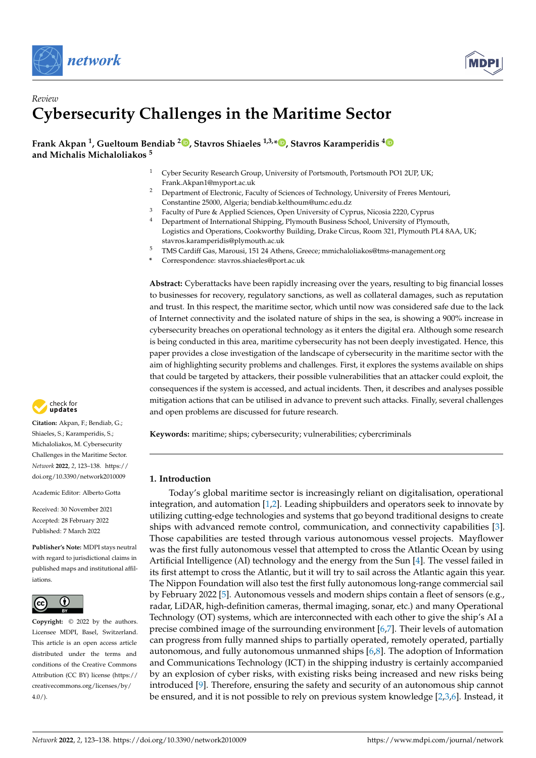



# *Review* **Cybersecurity Challenges in the Maritime Sector**

**Frank Akpan <sup>1</sup> , Gueltoum Bendiab <sup>2</sup> [,](https://orcid.org/0000-0002-9843-5496) Stavros Shiaeles 1,3,\* [,](https://orcid.org/0000-0003-3866-0672) Stavros Karamperidis [4](https://orcid.org/0000-0003-0971-5187) and Michalis Michaloliakos <sup>5</sup>**

- <sup>1</sup> Cyber Security Research Group, University of Portsmouth, Portsmouth PO1 2UP, UK; Frank.Akpan1@myport.ac.uk
- <sup>2</sup> Department of Electronic, Faculty of Sciences of Technology, University of Freres Mentouri, Constantine 25000, Algeria; bendiab.kelthoum@umc.edu.dz
- <sup>3</sup> Faculty of Pure & Applied Sciences, Open University of Cyprus, Nicosia 2220, Cyprus <sup>4</sup> Department of International Shipping, Plymouth Business School, University of Plymouth, Logistics and Operations, Cookworthy Building, Drake Circus, Room 321, Plymouth PL4 8AA, UK;
- stavros.karamperidis@plymouth.ac.uk <sup>5</sup> TMS Cardiff Gas, Marousi, 151 24 Athens, Greece; mmichaloliakos@tms-management.org
- **\*** Correspondence: stavros.shiaeles@port.ac.uk

**Abstract:** Cyberattacks have been rapidly increasing over the years, resulting to big financial losses to businesses for recovery, regulatory sanctions, as well as collateral damages, such as reputation and trust. In this respect, the maritime sector, which until now was considered safe due to the lack of Internet connectivity and the isolated nature of ships in the sea, is showing a 900% increase in cybersecurity breaches on operational technology as it enters the digital era. Although some research is being conducted in this area, maritime cybersecurity has not been deeply investigated. Hence, this paper provides a close investigation of the landscape of cybersecurity in the maritime sector with the aim of highlighting security problems and challenges. First, it explores the systems available on ships that could be targeted by attackers, their possible vulnerabilities that an attacker could exploit, the consequences if the system is accessed, and actual incidents. Then, it describes and analyses possible mitigation actions that can be utilised in advance to prevent such attacks. Finally, several challenges and open problems are discussed for future research.

**Keywords:** maritime; ships; cybersecurity; vulnerabilities; cybercriminals

## **1. Introduction**

Today's global maritime sector is increasingly reliant on digitalisation, operational integration, and automation [\[1](#page-12-0)[,2\]](#page-12-1). Leading shipbuilders and operators seek to innovate by utilizing cutting-edge technologies and systems that go beyond traditional designs to create ships with advanced remote control, communication, and connectivity capabilities [\[3\]](#page-12-2). Those capabilities are tested through various autonomous vessel projects. Mayflower was the first fully autonomous vessel that attempted to cross the Atlantic Ocean by using Artificial Intelligence (AI) technology and the energy from the Sun [\[4\]](#page-12-3). The vessel failed in its first attempt to cross the Atlantic, but it will try to sail across the Atlantic again this year. The Nippon Foundation will also test the first fully autonomous long-range commercial sail by February 2022 [\[5\]](#page-12-4). Autonomous vessels and modern ships contain a fleet of sensors (e.g., radar, LiDAR, high-definition cameras, thermal imaging, sonar, etc.) and many Operational Technology (OT) systems, which are interconnected with each other to give the ship's AI a precise combined image of the surrounding environment [\[6](#page-12-5)[,7\]](#page-12-6). Their levels of automation can progress from fully manned ships to partially operated, remotely operated, partially autonomous, and fully autonomous unmanned ships [\[6,](#page-12-5)[8\]](#page-12-7). The adoption of Information and Communications Technology (ICT) in the shipping industry is certainly accompanied by an explosion of cyber risks, with existing risks being increased and new risks being introduced [\[9\]](#page-12-8). Therefore, ensuring the safety and security of an autonomous ship cannot be ensured, and it is not possible to rely on previous system knowledge [\[2](#page-12-1)[,3,](#page-12-2)[6\]](#page-12-5). Instead, it



**Citation:** Akpan, F.; Bendiab, G.; Shiaeles, S.; Karamperidis, S.; Michaloliakos, M. Cybersecurity Challenges in the Maritime Sector. *Network* **2022**, *2*, 123–138. [https://](https://doi.org/10.3390/network2010009) [doi.org/10.3390/network2010009](https://doi.org/10.3390/network2010009)

Academic Editor: Alberto Gotta

Received: 30 November 2021 Accepted: 28 February 2022 Published: 7 March 2022

**Publisher's Note:** MDPI stays neutral with regard to jurisdictional claims in published maps and institutional affiliations.



**Copyright:** © 2022 by the authors. Licensee MDPI, Basel, Switzerland. This article is an open access article distributed under the terms and conditions of the Creative Commons Attribution (CC BY) license [\(https://](https://creativecommons.org/licenses/by/4.0/) [creativecommons.org/licenses/by/](https://creativecommons.org/licenses/by/4.0/)  $4.0/$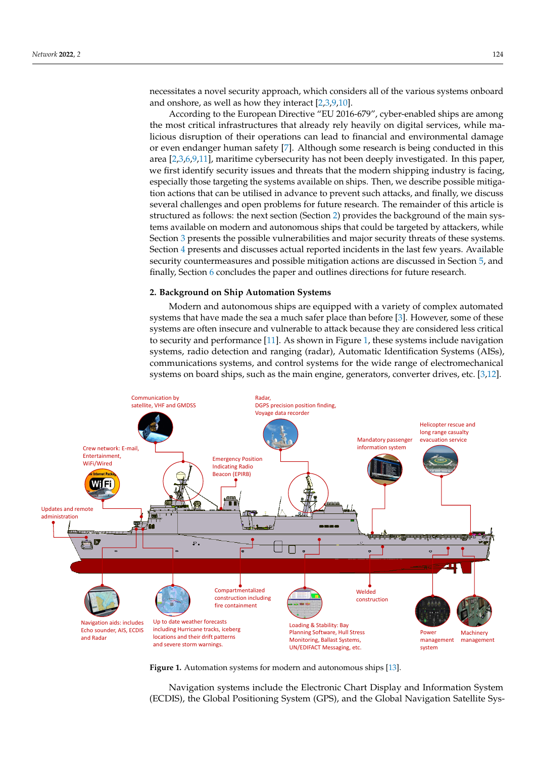necessitates a novel security approach, which considers all of the various systems onboard and onshore, as well as how they interact [\[2,](#page-12-1)[3,](#page-12-2)[9,](#page-12-8)[10\]](#page-12-9).

According to the European Directive "EU 2016-679", cyber-enabled ships are among the most critical infrastructures that already rely heavily on digital services, while malicious disruption of their operations can lead to financial and environmental damage or even endanger human safety [\[7\]](#page-12-6). Although some research is being conducted in this area [\[2](#page-12-1)[,3](#page-12-2)[,6,](#page-12-5)[9,](#page-12-8)[11\]](#page-12-10), maritime cybersecurity has not been deeply investigated. In this paper, we first identify security issues and threats that the modern shipping industry is facing, especially those targeting the systems available on ships. Then, we describe possible mitigation actions that can be utilised in advance to prevent such attacks, and finally, we discuss several challenges and open problems for future research. The remainder of this article is structured as follows: the next section (Section [2\)](#page-1-0) provides the background of the main systems available on modern and autonomous ships that could be targeted by attackers, while Section [3](#page-3-0) presents the possible vulnerabilities and major security threats of these systems. Section [4](#page-7-0) presents and discusses actual reported incidents in the last few years. Available security countermeasures and possible mitigation actions are discussed in Section [5,](#page-8-0) and finally, Section [6](#page-11-0) concludes the paper and outlines directions for future research.

## <span id="page-1-0"></span>**2. Background on Ship Automation Systems**

<span id="page-1-1"></span>Modern and autonomous ships are equipped with a variety of complex automated systems that have made the sea a much safer place than before [\[3\]](#page-12-2). However, some of these systems are often insecure and vulnerable to attack because they are considered less critical to security and performance [\[11\]](#page-12-10). As shown in Figure [1,](#page-1-1) these systems include navigation systems, radio detection and ranging (radar), Automatic Identification Systems (AISs), communications systems, and control systems for the wide range of electromechanical systems on board ships, such as the main engine, generators, converter drives, etc. [\[3](#page-12-2)[,12\]](#page-12-11).



**Figure 1.** Automation systems for modern and autonomous ships [\[13\]](#page-12-12).

Navigation systems include the Electronic Chart Display and Information System (ECDIS), the Global Positioning System (GPS), and the Global Navigation Satellite Sys-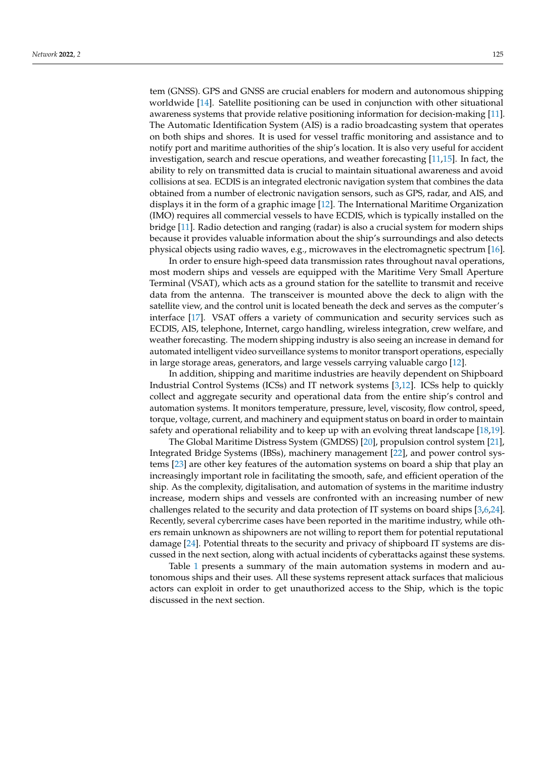tem (GNSS). GPS and GNSS are crucial enablers for modern and autonomous shipping worldwide [\[14\]](#page-13-0). Satellite positioning can be used in conjunction with other situational awareness systems that provide relative positioning information for decision-making [\[11\]](#page-12-10). The Automatic Identification System (AIS) is a radio broadcasting system that operates on both ships and shores. It is used for vessel traffic monitoring and assistance and to notify port and maritime authorities of the ship's location. It is also very useful for accident investigation, search and rescue operations, and weather forecasting [\[11,](#page-12-10)[15\]](#page-13-1). In fact, the ability to rely on transmitted data is crucial to maintain situational awareness and avoid collisions at sea. ECDIS is an integrated electronic navigation system that combines the data obtained from a number of electronic navigation sensors, such as GPS, radar, and AIS, and displays it in the form of a graphic image [\[12\]](#page-12-11). The International Maritime Organization (IMO) requires all commercial vessels to have ECDIS, which is typically installed on the bridge [\[11\]](#page-12-10). Radio detection and ranging (radar) is also a crucial system for modern ships because it provides valuable information about the ship's surroundings and also detects physical objects using radio waves, e.g., microwaves in the electromagnetic spectrum [\[16\]](#page-13-2).

In order to ensure high-speed data transmission rates throughout naval operations, most modern ships and vessels are equipped with the Maritime Very Small Aperture Terminal (VSAT), which acts as a ground station for the satellite to transmit and receive data from the antenna. The transceiver is mounted above the deck to align with the satellite view, and the control unit is located beneath the deck and serves as the computer's interface [\[17\]](#page-13-3). VSAT offers a variety of communication and security services such as ECDIS, AIS, telephone, Internet, cargo handling, wireless integration, crew welfare, and weather forecasting. The modern shipping industry is also seeing an increase in demand for automated intelligent video surveillance systems to monitor transport operations, especially in large storage areas, generators, and large vessels carrying valuable cargo [\[12\]](#page-12-11).

In addition, shipping and maritime industries are heavily dependent on Shipboard Industrial Control Systems (ICSs) and IT network systems [\[3,](#page-12-2)[12\]](#page-12-11). ICSs help to quickly collect and aggregate security and operational data from the entire ship's control and automation systems. It monitors temperature, pressure, level, viscosity, flow control, speed, torque, voltage, current, and machinery and equipment status on board in order to maintain safety and operational reliability and to keep up with an evolving threat landscape [\[18](#page-13-4)[,19\]](#page-13-5).

The Global Maritime Distress System (GMDSS) [\[20\]](#page-13-6), propulsion control system [\[21\]](#page-13-7), Integrated Bridge Systems (IBSs), machinery management [\[22\]](#page-13-8), and power control systems [\[23\]](#page-13-9) are other key features of the automation systems on board a ship that play an increasingly important role in facilitating the smooth, safe, and efficient operation of the ship. As the complexity, digitalisation, and automation of systems in the maritime industry increase, modern ships and vessels are confronted with an increasing number of new challenges related to the security and data protection of IT systems on board ships [\[3](#page-12-2)[,6,](#page-12-5)[24\]](#page-13-10). Recently, several cybercrime cases have been reported in the maritime industry, while others remain unknown as shipowners are not willing to report them for potential reputational damage [\[24\]](#page-13-10). Potential threats to the security and privacy of shipboard IT systems are discussed in the next section, along with actual incidents of cyberattacks against these systems.

Table [1](#page-3-1) presents a summary of the main automation systems in modern and autonomous ships and their uses. All these systems represent attack surfaces that malicious actors can exploit in order to get unauthorized access to the Ship, which is the topic discussed in the next section.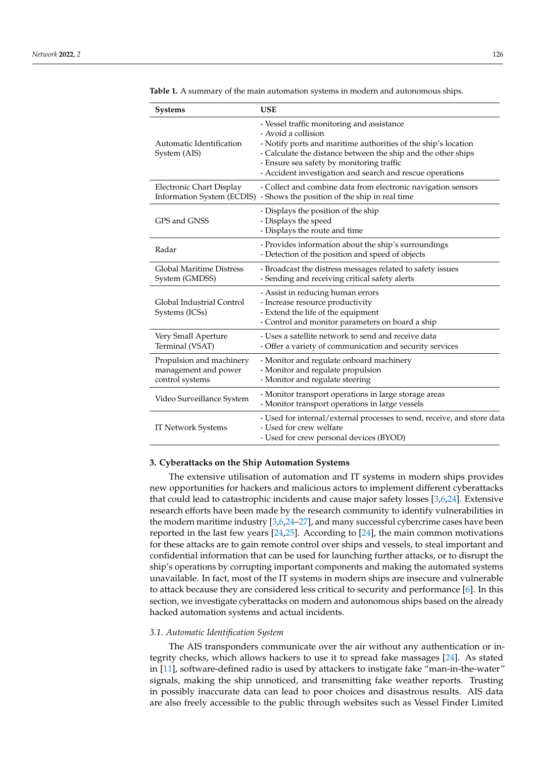| <b>Systems</b>                                                      | <b>USE</b>                                                                                                                                                                                                                                                                                                     |
|---------------------------------------------------------------------|----------------------------------------------------------------------------------------------------------------------------------------------------------------------------------------------------------------------------------------------------------------------------------------------------------------|
| Automatic Identification<br>System (AIS)                            | - Vessel traffic monitoring and assistance<br>- Avoid a collision<br>- Notify ports and maritime authorities of the ship's location<br>- Calculate the distance between the ship and the other ships<br>- Ensure sea safety by monitoring traffic<br>- Accident investigation and search and rescue operations |
| Electronic Chart Display                                            | - Collect and combine data from electronic navigation sensors<br>Information System (ECDIS) - Shows the position of the ship in real time                                                                                                                                                                      |
| GPS and GNSS                                                        | - Displays the position of the ship<br>- Displays the speed<br>- Displays the route and time                                                                                                                                                                                                                   |
| Radar                                                               | - Provides information about the ship's surroundings<br>- Detection of the position and speed of objects                                                                                                                                                                                                       |
| <b>Global Maritime Distress</b><br>System (GMDSS)                   | - Broadcast the distress messages related to safety issues<br>- Sending and receiving critical safety alerts                                                                                                                                                                                                   |
| Global Industrial Control<br>Systems (ICSs)                         | - Assist in reducing human errors<br>- Increase resource productivity<br>- Extend the life of the equipment<br>- Control and monitor parameters on board a ship                                                                                                                                                |
| Very Small Aperture<br>Terminal (VSAT)                              | - Uses a satellite network to send and receive data<br>- Offer a variety of communication and security services                                                                                                                                                                                                |
| Propulsion and machinery<br>management and power<br>control systems | - Monitor and regulate onboard machinery<br>- Monitor and regulate propulsion<br>- Monitor and regulate steering                                                                                                                                                                                               |
| Video Surveillance System                                           | - Monitor transport operations in large storage areas<br>- Monitor transport operations in large vessels                                                                                                                                                                                                       |
| <b>IT Network Systems</b>                                           | - Used for internal/external processes to send, receive, and store data<br>- Used for crew welfare<br>- Used for crew personal devices (BYOD)                                                                                                                                                                  |

<span id="page-3-1"></span>**Table 1.** A summary of the main automation systems in modern and autonomous ships.

#### <span id="page-3-0"></span>**3. Cyberattacks on the Ship Automation Systems**

The extensive utilisation of automation and IT systems in modern ships provides new opportunities for hackers and malicious actors to implement different cyberattacks that could lead to catastrophic incidents and cause major safety losses [\[3](#page-12-2)[,6](#page-12-5)[,24\]](#page-13-10). Extensive research efforts have been made by the research community to identify vulnerabilities in the modern maritime industry [\[3,](#page-12-2)[6](#page-12-5)[,24](#page-13-10)[–27\]](#page-13-11), and many successful cybercrime cases have been reported in the last few years [\[24,](#page-13-10)[25\]](#page-13-12). According to [\[24\]](#page-13-10), the main common motivations for these attacks are to gain remote control over ships and vessels, to steal important and confidential information that can be used for launching further attacks, or to disrupt the ship's operations by corrupting important components and making the automated systems unavailable. In fact, most of the IT systems in modern ships are insecure and vulnerable to attack because they are considered less critical to security and performance [\[6\]](#page-12-5). In this section, we investigate cyberattacks on modern and autonomous ships based on the already hacked automation systems and actual incidents.

#### *3.1. Automatic Identification System*

The AIS transponders communicate over the air without any authentication or integrity checks, which allows hackers to use it to spread fake massages [\[24\]](#page-13-10). As stated in [\[11\]](#page-12-10), software-defined radio is used by attackers to instigate fake "man-in-the-water" signals, making the ship unnoticed, and transmitting fake weather reports. Trusting in possibly inaccurate data can lead to poor choices and disastrous results. AIS data are also freely accessible to the public through websites such as Vessel Finder Limited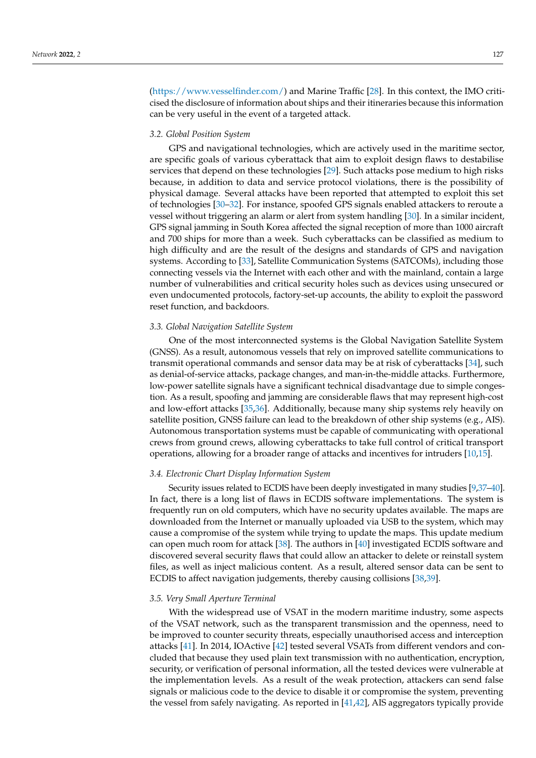[\(https://www.vesselfinder.com/\)](https://www.vesselfinder.com/) and Marine Traffic [\[28\]](#page-13-13). In this context, the IMO criticised the disclosure of information about ships and their itineraries because this information can be very useful in the event of a targeted attack.

## *3.2. Global Position System*

GPS and navigational technologies, which are actively used in the maritime sector, are specific goals of various cyberattack that aim to exploit design flaws to destabilise services that depend on these technologies [\[29\]](#page-13-14). Such attacks pose medium to high risks because, in addition to data and service protocol violations, there is the possibility of physical damage. Several attacks have been reported that attempted to exploit this set of technologies [\[30](#page-13-15)[–32\]](#page-13-16). For instance, spoofed GPS signals enabled attackers to reroute a vessel without triggering an alarm or alert from system handling [\[30\]](#page-13-15). In a similar incident, GPS signal jamming in South Korea affected the signal reception of more than 1000 aircraft and 700 ships for more than a week. Such cyberattacks can be classified as medium to high difficulty and are the result of the designs and standards of GPS and navigation systems. According to [\[33\]](#page-13-17), Satellite Communication Systems (SATCOMs), including those connecting vessels via the Internet with each other and with the mainland, contain a large number of vulnerabilities and critical security holes such as devices using unsecured or even undocumented protocols, factory-set-up accounts, the ability to exploit the password reset function, and backdoors.

#### *3.3. Global Navigation Satellite System*

One of the most interconnected systems is the Global Navigation Satellite System (GNSS). As a result, autonomous vessels that rely on improved satellite communications to transmit operational commands and sensor data may be at risk of cyberattacks [\[34\]](#page-13-18), such as denial-of-service attacks, package changes, and man-in-the-middle attacks. Furthermore, low-power satellite signals have a significant technical disadvantage due to simple congestion. As a result, spoofing and jamming are considerable flaws that may represent high-cost and low-effort attacks [\[35,](#page-13-19)[36\]](#page-13-20). Additionally, because many ship systems rely heavily on satellite position, GNSS failure can lead to the breakdown of other ship systems (e.g., AIS). Autonomous transportation systems must be capable of communicating with operational crews from ground crews, allowing cyberattacks to take full control of critical transport operations, allowing for a broader range of attacks and incentives for intruders [\[10](#page-12-9)[,15\]](#page-13-1).

#### *3.4. Electronic Chart Display Information System*

Security issues related to ECDIS have been deeply investigated in many studies [\[9](#page-12-8)[,37–](#page-13-21)[40\]](#page-13-22). In fact, there is a long list of flaws in ECDIS software implementations. The system is frequently run on old computers, which have no security updates available. The maps are downloaded from the Internet or manually uploaded via USB to the system, which may cause a compromise of the system while trying to update the maps. This update medium can open much room for attack [\[38\]](#page-13-23). The authors in [\[40\]](#page-13-22) investigated ECDIS software and discovered several security flaws that could allow an attacker to delete or reinstall system files, as well as inject malicious content. As a result, altered sensor data can be sent to ECDIS to affect navigation judgements, thereby causing collisions [\[38](#page-13-23)[,39\]](#page-13-24).

#### *3.5. Very Small Aperture Terminal*

With the widespread use of VSAT in the modern maritime industry, some aspects of the VSAT network, such as the transparent transmission and the openness, need to be improved to counter security threats, especially unauthorised access and interception attacks [\[41\]](#page-13-25). In 2014, IOActive [\[42\]](#page-13-26) tested several VSATs from different vendors and concluded that because they used plain text transmission with no authentication, encryption, security, or verification of personal information, all the tested devices were vulnerable at the implementation levels. As a result of the weak protection, attackers can send false signals or malicious code to the device to disable it or compromise the system, preventing the vessel from safely navigating. As reported in [\[41](#page-13-25)[,42\]](#page-13-26), AIS aggregators typically provide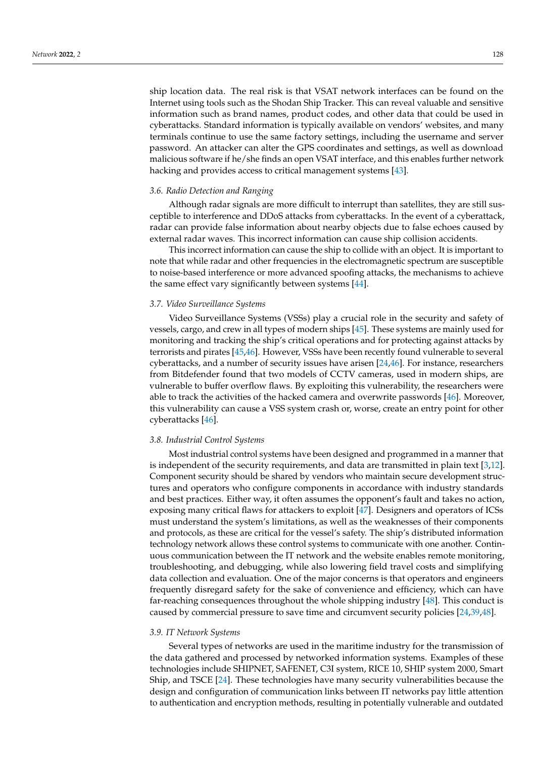ship location data. The real risk is that VSAT network interfaces can be found on the Internet using tools such as the Shodan Ship Tracker. This can reveal valuable and sensitive information such as brand names, product codes, and other data that could be used in cyberattacks. Standard information is typically available on vendors' websites, and many terminals continue to use the same factory settings, including the username and server password. An attacker can alter the GPS coordinates and settings, as well as download malicious software if he/she finds an open VSAT interface, and this enables further network hacking and provides access to critical management systems [\[43\]](#page-14-0).

#### *3.6. Radio Detection and Ranging*

Although radar signals are more difficult to interrupt than satellites, they are still susceptible to interference and DDoS attacks from cyberattacks. In the event of a cyberattack, radar can provide false information about nearby objects due to false echoes caused by external radar waves. This incorrect information can cause ship collision accidents.

This incorrect information can cause the ship to collide with an object. It is important to note that while radar and other frequencies in the electromagnetic spectrum are susceptible to noise-based interference or more advanced spoofing attacks, the mechanisms to achieve the same effect vary significantly between systems [\[44\]](#page-14-1).

#### *3.7. Video Surveillance Systems*

Video Surveillance Systems (VSSs) play a crucial role in the security and safety of vessels, cargo, and crew in all types of modern ships [\[45\]](#page-14-2). These systems are mainly used for monitoring and tracking the ship's critical operations and for protecting against attacks by terrorists and pirates [\[45,](#page-14-2)[46\]](#page-14-3). However, VSSs have been recently found vulnerable to several cyberattacks, and a number of security issues have arisen [\[24](#page-13-10)[,46\]](#page-14-3). For instance, researchers from Bitdefender found that two models of CCTV cameras, used in modern ships, are vulnerable to buffer overflow flaws. By exploiting this vulnerability, the researchers were able to track the activities of the hacked camera and overwrite passwords [\[46\]](#page-14-3). Moreover, this vulnerability can cause a VSS system crash or, worse, create an entry point for other cyberattacks [\[46\]](#page-14-3).

#### *3.8. Industrial Control Systems*

Most industrial control systems have been designed and programmed in a manner that is independent of the security requirements, and data are transmitted in plain text [\[3,](#page-12-2)[12\]](#page-12-11). Component security should be shared by vendors who maintain secure development structures and operators who configure components in accordance with industry standards and best practices. Either way, it often assumes the opponent's fault and takes no action, exposing many critical flaws for attackers to exploit [\[47\]](#page-14-4). Designers and operators of ICSs must understand the system's limitations, as well as the weaknesses of their components and protocols, as these are critical for the vessel's safety. The ship's distributed information technology network allows these control systems to communicate with one another. Continuous communication between the IT network and the website enables remote monitoring, troubleshooting, and debugging, while also lowering field travel costs and simplifying data collection and evaluation. One of the major concerns is that operators and engineers frequently disregard safety for the sake of convenience and efficiency, which can have far-reaching consequences throughout the whole shipping industry [\[48\]](#page-14-5). This conduct is caused by commercial pressure to save time and circumvent security policies [\[24,](#page-13-10)[39](#page-13-24)[,48\]](#page-14-5).

#### *3.9. IT Network Systems*

Several types of networks are used in the maritime industry for the transmission of the data gathered and processed by networked information systems. Examples of these technologies include SHIPNET, SAFENET, C3I system, RICE 10, SHIP system 2000, Smart Ship, and TSCE [\[24\]](#page-13-10). These technologies have many security vulnerabilities because the design and configuration of communication links between IT networks pay little attention to authentication and encryption methods, resulting in potentially vulnerable and outdated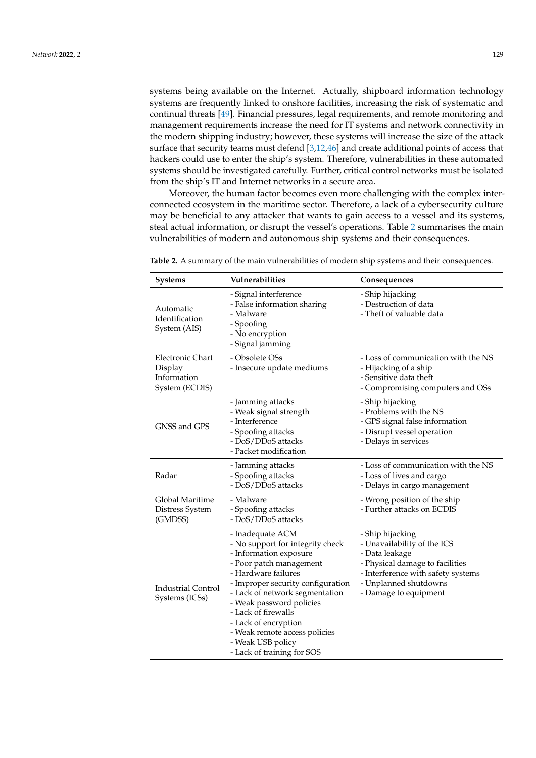systems being available on the Internet. Actually, shipboard information technology systems are frequently linked to onshore facilities, increasing the risk of systematic and continual threats [\[49\]](#page-14-6). Financial pressures, legal requirements, and remote monitoring and management requirements increase the need for IT systems and network connectivity in the modern shipping industry; however, these systems will increase the size of the attack surface that security teams must defend [\[3](#page-12-2)[,12](#page-12-11)[,46\]](#page-14-3) and create additional points of access that hackers could use to enter the ship's system. Therefore, vulnerabilities in these automated systems should be investigated carefully. Further, critical control networks must be isolated from the ship's IT and Internet networks in a secure area.

Moreover, the human factor becomes even more challenging with the complex interconnected ecosystem in the maritime sector. Therefore, a lack of a cybersecurity culture may be beneficial to any attacker that wants to gain access to a vessel and its systems, steal actual information, or disrupt the vessel's operations. Table [2](#page-7-1) summarises the main vulnerabilities of modern and autonomous ship systems and their consequences.

| <b>Systems</b>                                               | Vulnerabilities                                                                                                                                                                                                                                                                                                                                                        | Consequences                                                                                                                                                                                 |
|--------------------------------------------------------------|------------------------------------------------------------------------------------------------------------------------------------------------------------------------------------------------------------------------------------------------------------------------------------------------------------------------------------------------------------------------|----------------------------------------------------------------------------------------------------------------------------------------------------------------------------------------------|
| Automatic<br>Identification<br>System (AIS)                  | - Signal interference<br>- False information sharing<br>- Malware<br>- Spoofing<br>- No encryption<br>- Signal jamming                                                                                                                                                                                                                                                 | - Ship hijacking<br>- Destruction of data<br>- Theft of valuable data                                                                                                                        |
| Electronic Chart<br>Display<br>Information<br>System (ECDIS) | - Obsolete OSs<br>- Insecure update mediums                                                                                                                                                                                                                                                                                                                            | - Loss of communication with the NS<br>- Hijacking of a ship<br>- Sensitive data theft<br>- Compromising computers and OSs                                                                   |
| GNSS and GPS                                                 | - Jamming attacks<br>- Weak signal strength<br>- Interference<br>- Spoofing attacks<br>- DoS/DDoS attacks<br>- Packet modification                                                                                                                                                                                                                                     | - Ship hijacking<br>- Problems with the NS<br>- GPS signal false information<br>- Disrupt vessel operation<br>- Delays in services                                                           |
| Radar                                                        | - Jamming attacks<br>- Spoofing attacks<br>- DoS/DDoS attacks                                                                                                                                                                                                                                                                                                          | - Loss of communication with the NS<br>- Loss of lives and cargo<br>- Delays in cargo management                                                                                             |
| Global Maritime<br>Distress System<br>(GMDSS)                | - Malware<br>- Spoofing attacks<br>- DoS/DDoS attacks                                                                                                                                                                                                                                                                                                                  | - Wrong position of the ship<br>- Further attacks on ECDIS                                                                                                                                   |
| <b>Industrial Control</b><br>Systems (ICSs)                  | - Inadequate ACM<br>- No support for integrity check<br>- Information exposure<br>- Poor patch management<br>- Hardware failures<br>- Improper security configuration<br>- Lack of network segmentation<br>- Weak password policies<br>- Lack of firewalls<br>- Lack of encryption<br>- Weak remote access policies<br>- Weak USB policy<br>- Lack of training for SOS | - Ship hijacking<br>- Unavailability of the ICS<br>- Data leakage<br>- Physical damage to facilities<br>- Interference with safety systems<br>- Unplanned shutdowns<br>- Damage to equipment |

**Table 2.** A summary of the main vulnerabilities of modern ship systems and their consequences.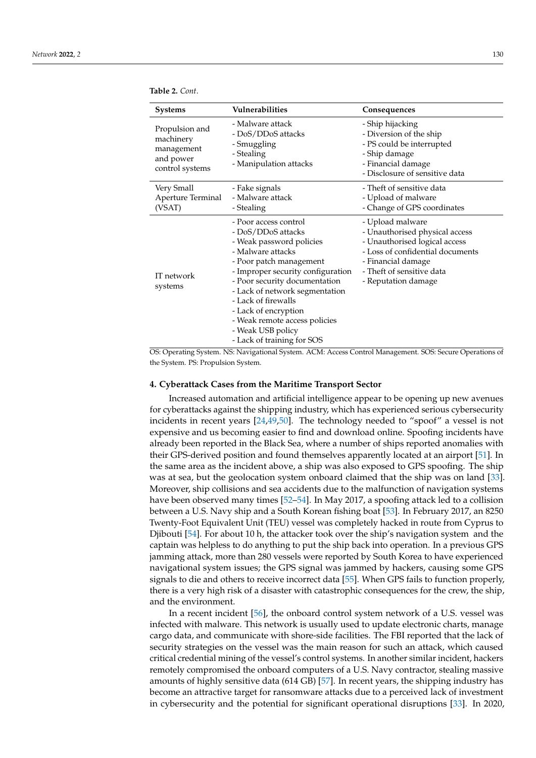<span id="page-7-1"></span>

| <b>Systems</b>                                                            | Vulnerabilities                                                                                                                                                                                                                                                                                                                                                    | Consequences                                                                                                                                                                                      |
|---------------------------------------------------------------------------|--------------------------------------------------------------------------------------------------------------------------------------------------------------------------------------------------------------------------------------------------------------------------------------------------------------------------------------------------------------------|---------------------------------------------------------------------------------------------------------------------------------------------------------------------------------------------------|
| Propulsion and<br>machinery<br>management<br>and power<br>control systems | - Malware attack<br>- DoS/DDoS attacks<br>- Smuggling<br>- Stealing<br>- Manipulation attacks                                                                                                                                                                                                                                                                      | - Ship hijacking<br>- Diversion of the ship<br>- PS could be interrupted<br>- Ship damage<br>- Financial damage<br>- Disclosure of sensitive data                                                 |
| Very Small<br>Aperture Terminal<br>(VSAT)                                 | - Fake signals<br>- Malware attack<br>- Stealing                                                                                                                                                                                                                                                                                                                   | - Theft of sensitive data<br>- Upload of malware<br>- Change of GPS coordinates                                                                                                                   |
| IT network<br>systems                                                     | - Poor access control<br>- DoS/DDoS attacks<br>- Weak password policies<br>- Malware attacks<br>- Poor patch management<br>- Improper security configuration<br>- Poor security documentation<br>- Lack of network segmentation<br>- Lack of firewalls<br>- Lack of encryption<br>- Weak remote access policies<br>- Weak USB policy<br>- Lack of training for SOS | - Upload malware<br>- Unauthorised physical access<br>- Unauthorised logical access<br>- Loss of confidential documents<br>- Financial damage<br>- Theft of sensitive data<br>- Reputation damage |

OS: Operating System. NS: Navigational System. ACM: Access Control Management. SOS: Secure Operations of the System. PS: Propulsion System.

## <span id="page-7-0"></span>**4. Cyberattack Cases from the Maritime Transport Sector**

Increased automation and artificial intelligence appear to be opening up new avenues for cyberattacks against the shipping industry, which has experienced serious cybersecurity incidents in recent years [\[24,](#page-13-10)[49,](#page-14-6)[50\]](#page-14-7). The technology needed to "spoof" a vessel is not expensive and us becoming easier to find and download online. Spoofing incidents have already been reported in the Black Sea, where a number of ships reported anomalies with their GPS-derived position and found themselves apparently located at an airport [\[51\]](#page-14-8). In the same area as the incident above, a ship was also exposed to GPS spoofing. The ship was at sea, but the geolocation system onboard claimed that the ship was on land [\[33\]](#page-13-17). Moreover, ship collisions and sea accidents due to the malfunction of navigation systems have been observed many times [\[52](#page-14-9)[–54\]](#page-14-10). In May 2017, a spoofing attack led to a collision between a U.S. Navy ship and a South Korean fishing boat [\[53\]](#page-14-11). In February 2017, an 8250 Twenty-Foot Equivalent Unit (TEU) vessel was completely hacked in route from Cyprus to Djibouti [\[54\]](#page-14-10). For about 10 h, the attacker took over the ship's navigation system and the captain was helpless to do anything to put the ship back into operation. In a previous GPS jamming attack, more than 280 vessels were reported by South Korea to have experienced navigational system issues; the GPS signal was jammed by hackers, causing some GPS signals to die and others to receive incorrect data [\[55\]](#page-14-12). When GPS fails to function properly, there is a very high risk of a disaster with catastrophic consequences for the crew, the ship, and the environment.

In a recent incident [\[56\]](#page-14-13), the onboard control system network of a U.S. vessel was infected with malware. This network is usually used to update electronic charts, manage cargo data, and communicate with shore-side facilities. The FBI reported that the lack of security strategies on the vessel was the main reason for such an attack, which caused critical credential mining of the vessel's control systems. In another similar incident, hackers remotely compromised the onboard computers of a U.S. Navy contractor, stealing massive amounts of highly sensitive data (614 GB) [\[57\]](#page-14-14). In recent years, the shipping industry has become an attractive target for ransomware attacks due to a perceived lack of investment in cybersecurity and the potential for significant operational disruptions [\[33\]](#page-13-17). In 2020,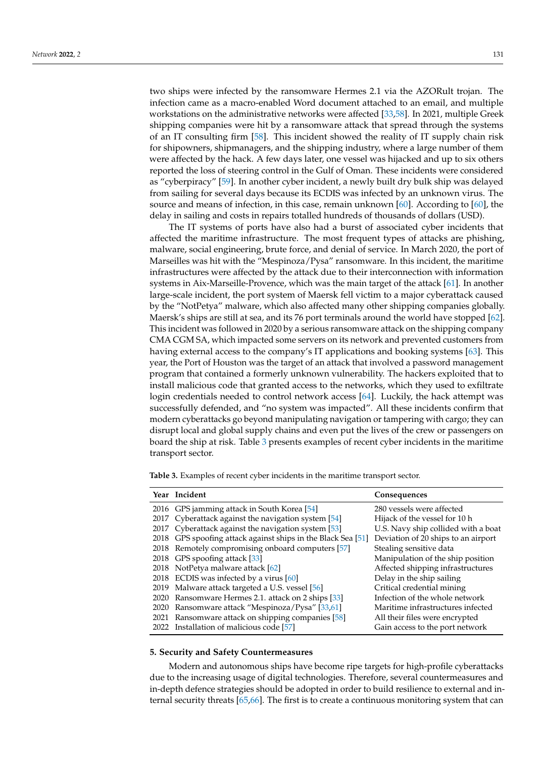two ships were infected by the ransomware Hermes 2.1 via the AZORult trojan. The infection came as a macro-enabled Word document attached to an email, and multiple workstations on the administrative networks were affected [\[33](#page-13-17)[,58\]](#page-14-15). In 2021, multiple Greek shipping companies were hit by a ransomware attack that spread through the systems of an IT consulting firm [\[58\]](#page-14-15). This incident showed the reality of IT supply chain risk for shipowners, shipmanagers, and the shipping industry, where a large number of them were affected by the hack. A few days later, one vessel was hijacked and up to six others reported the loss of steering control in the Gulf of Oman. These incidents were considered as "cyberpiracy" [\[59\]](#page-14-16). In another cyber incident, a newly built dry bulk ship was delayed from sailing for several days because its ECDIS was infected by an unknown virus. The source and means of infection, in this case, remain unknown  $[60]$ . According to  $[60]$ , the delay in sailing and costs in repairs totalled hundreds of thousands of dollars (USD).

The IT systems of ports have also had a burst of associated cyber incidents that affected the maritime infrastructure. The most frequent types of attacks are phishing, malware, social engineering, brute force, and denial of service. In March 2020, the port of Marseilles was hit with the "Mespinoza/Pysa" ransomware. In this incident, the maritime infrastructures were affected by the attack due to their interconnection with information systems in Aix-Marseille-Provence, which was the main target of the attack [\[61\]](#page-14-18). In another large-scale incident, the port system of Maersk fell victim to a major cyberattack caused by the "NotPetya" malware, which also affected many other shipping companies globally. Maersk's ships are still at sea, and its 76 port terminals around the world have stopped [\[62\]](#page-14-19). This incident was followed in 2020 by a serious ransomware attack on the shipping company CMA CGM SA, which impacted some servers on its network and prevented customers from having external access to the company's IT applications and booking systems [\[63\]](#page-14-20). This year, the Port of Houston was the target of an attack that involved a password management program that contained a formerly unknown vulnerability. The hackers exploited that to install malicious code that granted access to the networks, which they used to exfiltrate login credentials needed to control network access [\[64\]](#page-14-21). Luckily, the hack attempt was successfully defended, and "no system was impacted". All these incidents confirm that modern cyberattacks go beyond manipulating navigation or tampering with cargo; they can disrupt local and global supply chains and even put the lives of the crew or passengers on board the ship at risk. Table [3](#page-8-1) presents examples of recent cyber incidents in the maritime transport sector.

<span id="page-8-1"></span>**Table 3.** Examples of recent cyber incidents in the maritime transport sector.

| Year Incident                                                | Consequences                        |
|--------------------------------------------------------------|-------------------------------------|
| 2016 GPS jamming attack in South Korea [54]                  | 280 vessels were affected           |
| 2017 Cyberattack against the navigation system [54]          | Hijack of the vessel for 10 h       |
| 2017 Cyberattack against the navigation system [53]          | U.S. Navy ship collided with a boat |
| 2018 GPS spoofing attack against ships in the Black Sea [51] | Deviation of 20 ships to an airport |
| 2018 Remotely compromising onboard computers [57]            | Stealing sensitive data             |
| 2018 GPS spoofing attack [33]                                | Manipulation of the ship position   |
| 2018 NotPetya malware attack [62]                            | Affected shipping infrastructures   |
| 2018 ECDIS was infected by a virus [60]                      | Delay in the ship sailing           |
| 2019 Malware attack targeted a U.S. vessel [56]              | Critical credential mining          |
| 2020 Ransomware Hermes 2.1. attack on 2 ships [33]           | Infection of the whole network      |
| 2020 Ransomware attack "Mespinoza/Pysa" [33,61]              | Maritime infrastructures infected   |
| 2021 Ransomware attack on shipping companies [58]            | All their files were encrypted      |
| 2022 Installation of malicious code [57]                     | Gain access to the port network     |

#### <span id="page-8-0"></span>**5. Security and Safety Countermeasures**

Modern and autonomous ships have become ripe targets for high-profile cyberattacks due to the increasing usage of digital technologies. Therefore, several countermeasures and in-depth defence strategies should be adopted in order to build resilience to external and internal security threats [\[65,](#page-14-22)[66\]](#page-14-23). The first is to create a continuous monitoring system that can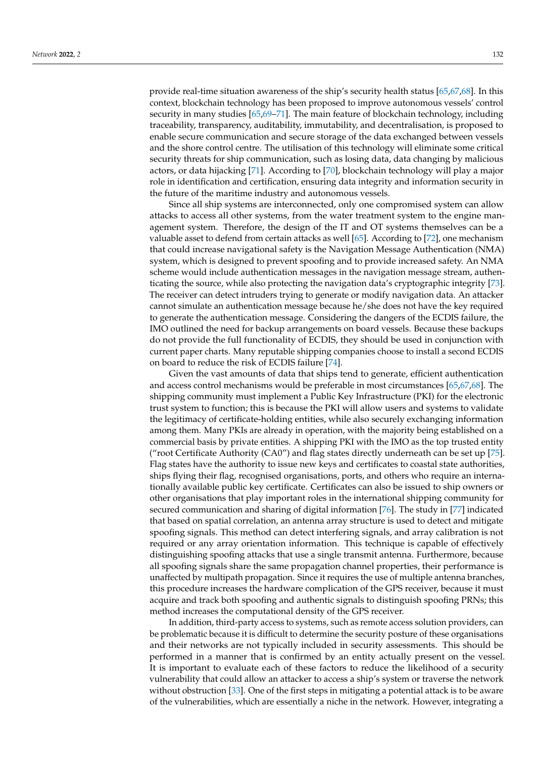provide real-time situation awareness of the ship's security health status [\[65](#page-14-22)[,67](#page-14-24)[,68\]](#page-15-0). In this context, blockchain technology has been proposed to improve autonomous vessels' control security in many studies [\[65,](#page-14-22)[69](#page-15-1)-71]. The main feature of blockchain technology, including traceability, transparency, auditability, immutability, and decentralisation, is proposed to enable secure communication and secure storage of the data exchanged between vessels and the shore control centre. The utilisation of this technology will eliminate some critical security threats for ship communication, such as losing data, data changing by malicious actors, or data hijacking [\[71\]](#page-15-2). According to [\[70\]](#page-15-3), blockchain technology will play a major role in identification and certification, ensuring data integrity and information security in the future of the maritime industry and autonomous vessels.

Since all ship systems are interconnected, only one compromised system can allow attacks to access all other systems, from the water treatment system to the engine management system. Therefore, the design of the IT and OT systems themselves can be a valuable asset to defend from certain attacks as well [\[65\]](#page-14-22). According to [\[72\]](#page-15-4), one mechanism that could increase navigational safety is the Navigation Message Authentication (NMA) system, which is designed to prevent spoofing and to provide increased safety. An NMA scheme would include authentication messages in the navigation message stream, authenticating the source, while also protecting the navigation data's cryptographic integrity [\[73\]](#page-15-5). The receiver can detect intruders trying to generate or modify navigation data. An attacker cannot simulate an authentication message because he/she does not have the key required to generate the authentication message. Considering the dangers of the ECDIS failure, the IMO outlined the need for backup arrangements on board vessels. Because these backups do not provide the full functionality of ECDIS, they should be used in conjunction with current paper charts. Many reputable shipping companies choose to install a second ECDIS on board to reduce the risk of ECDIS failure [\[74\]](#page-15-6).

Given the vast amounts of data that ships tend to generate, efficient authentication and access control mechanisms would be preferable in most circumstances [\[65](#page-14-22)[,67](#page-14-24)[,68\]](#page-15-0). The shipping community must implement a Public Key Infrastructure (PKI) for the electronic trust system to function; this is because the PKI will allow users and systems to validate the legitimacy of certificate-holding entities, while also securely exchanging information among them. Many PKIs are already in operation, with the majority being established on a commercial basis by private entities. A shipping PKI with the IMO as the top trusted entity ("root Certificate Authority (CA0") and flag states directly underneath can be set up [\[75\]](#page-15-7). Flag states have the authority to issue new keys and certificates to coastal state authorities, ships flying their flag, recognised organisations, ports, and others who require an internationally available public key certificate. Certificates can also be issued to ship owners or other organisations that play important roles in the international shipping community for secured communication and sharing of digital information [\[76\]](#page-15-8). The study in [\[77\]](#page-15-9) indicated that based on spatial correlation, an antenna array structure is used to detect and mitigate spoofing signals. This method can detect interfering signals, and array calibration is not required or any array orientation information. This technique is capable of effectively distinguishing spoofing attacks that use a single transmit antenna. Furthermore, because all spoofing signals share the same propagation channel properties, their performance is unaffected by multipath propagation. Since it requires the use of multiple antenna branches, this procedure increases the hardware complication of the GPS receiver, because it must acquire and track both spoofing and authentic signals to distinguish spoofing PRNs; this method increases the computational density of the GPS receiver.

In addition, third-party access to systems, such as remote access solution providers, can be problematic because it is difficult to determine the security posture of these organisations and their networks are not typically included in security assessments. This should be performed in a manner that is confirmed by an entity actually present on the vessel. It is important to evaluate each of these factors to reduce the likelihood of a security vulnerability that could allow an attacker to access a ship's system or traverse the network without obstruction [\[33\]](#page-13-17). One of the first steps in mitigating a potential attack is to be aware of the vulnerabilities, which are essentially a niche in the network. However, integrating a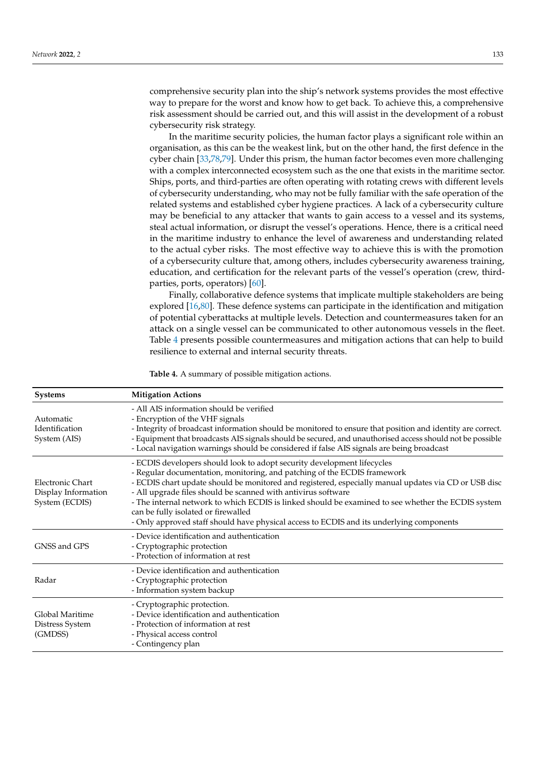comprehensive security plan into the ship's network systems provides the most effective way to prepare for the worst and know how to get back. To achieve this, a comprehensive risk assessment should be carried out, and this will assist in the development of a robust cybersecurity risk strategy.

In the maritime security policies, the human factor plays a significant role within an organisation, as this can be the weakest link, but on the other hand, the first defence in the cyber chain [\[33](#page-13-17)[,78,](#page-15-10)[79\]](#page-15-11). Under this prism, the human factor becomes even more challenging with a complex interconnected ecosystem such as the one that exists in the maritime sector. Ships, ports, and third-parties are often operating with rotating crews with different levels of cybersecurity understanding, who may not be fully familiar with the safe operation of the related systems and established cyber hygiene practices. A lack of a cybersecurity culture may be beneficial to any attacker that wants to gain access to a vessel and its systems, steal actual information, or disrupt the vessel's operations. Hence, there is a critical need in the maritime industry to enhance the level of awareness and understanding related to the actual cyber risks. The most effective way to achieve this is with the promotion of a cybersecurity culture that, among others, includes cybersecurity awareness training, education, and certification for the relevant parts of the vessel's operation (crew, thirdparties, ports, operators) [\[60\]](#page-14-17).

Finally, collaborative defence systems that implicate multiple stakeholders are being explored [\[16,](#page-13-2)[80\]](#page-15-12). These defence systems can participate in the identification and mitigation of potential cyberattacks at multiple levels. Detection and countermeasures taken for an attack on a single vessel can be communicated to other autonomous vessels in the fleet. Table [4](#page-11-1) presents possible countermeasures and mitigation actions that can help to build resilience to external and internal security threats.

**Table 4.** A summary of possible mitigation actions.

| <b>Systems</b>                                            | <b>Mitigation Actions</b>                                                                                                                                                                                                                                                                                                                                                                                                                                                                                                                                              |
|-----------------------------------------------------------|------------------------------------------------------------------------------------------------------------------------------------------------------------------------------------------------------------------------------------------------------------------------------------------------------------------------------------------------------------------------------------------------------------------------------------------------------------------------------------------------------------------------------------------------------------------------|
| Automatic<br>Identification<br>System (AIS)               | - All AIS information should be verified<br>- Encryption of the VHF signals<br>- Integrity of broadcast information should be monitored to ensure that position and identity are correct.<br>- Equipment that broadcasts AIS signals should be secured, and unauthorised access should not be possible<br>- Local navigation warnings should be considered if false AIS signals are being broadcast                                                                                                                                                                    |
| Electronic Chart<br>Display Information<br>System (ECDIS) | - ECDIS developers should look to adopt security development lifecycles<br>- Regular documentation, monitoring, and patching of the ECDIS framework<br>- ECDIS chart update should be monitored and registered, especially manual updates via CD or USB disc<br>- All upgrade files should be scanned with antivirus software<br>- The internal network to which ECDIS is linked should be examined to see whether the ECDIS system<br>can be fully isolated or firewalled<br>- Only approved staff should have physical access to ECDIS and its underlying components |
| GNSS and GPS                                              | - Device identification and authentication<br>- Cryptographic protection<br>- Protection of information at rest                                                                                                                                                                                                                                                                                                                                                                                                                                                        |
| Radar                                                     | - Device identification and authentication<br>- Cryptographic protection<br>- Information system backup                                                                                                                                                                                                                                                                                                                                                                                                                                                                |
| Global Maritime<br>Distress System<br>(GMDSS)             | - Cryptographic protection.<br>- Device identification and authentication<br>- Protection of information at rest<br>- Physical access control<br>- Contingency plan                                                                                                                                                                                                                                                                                                                                                                                                    |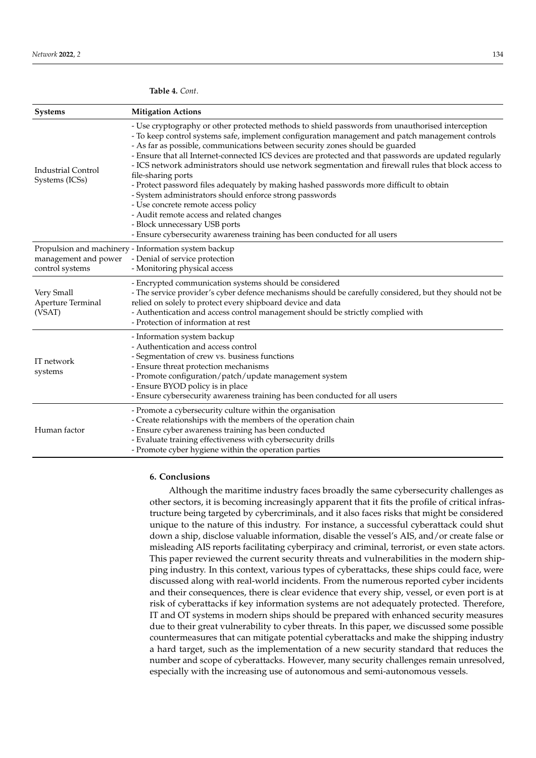| <b>Systems</b>                              | <b>Mitigation Actions</b>                                                                                                                                                                                                                                                                                                                                                                                                                                                                                                                                                                                                                                                                                                                                                                                                                                                               |
|---------------------------------------------|-----------------------------------------------------------------------------------------------------------------------------------------------------------------------------------------------------------------------------------------------------------------------------------------------------------------------------------------------------------------------------------------------------------------------------------------------------------------------------------------------------------------------------------------------------------------------------------------------------------------------------------------------------------------------------------------------------------------------------------------------------------------------------------------------------------------------------------------------------------------------------------------|
| <b>Industrial Control</b><br>Systems (ICSs) | - Use cryptography or other protected methods to shield passwords from unauthorised interception<br>- To keep control systems safe, implement configuration management and patch management controls<br>- As far as possible, communications between security zones should be guarded<br>- Ensure that all Internet-connected ICS devices are protected and that passwords are updated regularly<br>- ICS network administrators should use network segmentation and firewall rules that block access to<br>file-sharing ports<br>- Protect password files adequately by making hashed passwords more difficult to obtain<br>- System administrators should enforce strong passwords<br>- Use concrete remote access policy<br>- Audit remote access and related changes<br>- Block unnecessary USB ports<br>- Ensure cybersecurity awareness training has been conducted for all users |
| management and power<br>control systems     | Propulsion and machinery - Information system backup<br>- Denial of service protection<br>- Monitoring physical access                                                                                                                                                                                                                                                                                                                                                                                                                                                                                                                                                                                                                                                                                                                                                                  |
| Very Small<br>Aperture Terminal<br>(VSAT)   | - Encrypted communication systems should be considered<br>- The service provider's cyber defence mechanisms should be carefully considered, but they should not be<br>relied on solely to protect every shipboard device and data<br>- Authentication and access control management should be strictly complied with<br>- Protection of information at rest                                                                                                                                                                                                                                                                                                                                                                                                                                                                                                                             |
| IT network<br>systems                       | - Information system backup<br>- Authentication and access control<br>- Segmentation of crew vs. business functions<br>- Ensure threat protection mechanisms<br>- Promote configuration/patch/update management system<br>- Ensure BYOD policy is in place<br>- Ensure cybersecurity awareness training has been conducted for all users                                                                                                                                                                                                                                                                                                                                                                                                                                                                                                                                                |
| Human factor                                | - Promote a cybersecurity culture within the organisation<br>- Create relationships with the members of the operation chain<br>- Ensure cyber awareness training has been conducted<br>- Evaluate training effectiveness with cybersecurity drills<br>- Promote cyber hygiene within the operation parties                                                                                                                                                                                                                                                                                                                                                                                                                                                                                                                                                                              |

## <span id="page-11-1"></span>**Table 4.** *Cont*.

## <span id="page-11-0"></span>**6. Conclusions**

Although the maritime industry faces broadly the same cybersecurity challenges as other sectors, it is becoming increasingly apparent that it fits the profile of critical infrastructure being targeted by cybercriminals, and it also faces risks that might be considered unique to the nature of this industry. For instance, a successful cyberattack could shut down a ship, disclose valuable information, disable the vessel's AIS, and/or create false or misleading AIS reports facilitating cyberpiracy and criminal, terrorist, or even state actors. This paper reviewed the current security threats and vulnerabilities in the modern shipping industry. In this context, various types of cyberattacks, these ships could face, were discussed along with real-world incidents. From the numerous reported cyber incidents and their consequences, there is clear evidence that every ship, vessel, or even port is at risk of cyberattacks if key information systems are not adequately protected. Therefore, IT and OT systems in modern ships should be prepared with enhanced security measures due to their great vulnerability to cyber threats. In this paper, we discussed some possible countermeasures that can mitigate potential cyberattacks and make the shipping industry a hard target, such as the implementation of a new security standard that reduces the number and scope of cyberattacks. However, many security challenges remain unresolved, especially with the increasing use of autonomous and semi-autonomous vessels.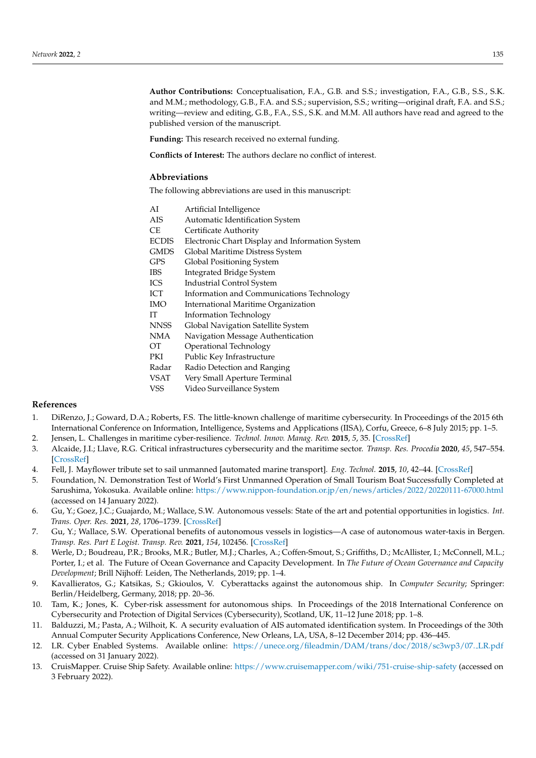**Author Contributions:** Conceptualisation, F.A., G.B. and S.S.; investigation, F.A., G.B., S.S., S.K. and M.M.; methodology, G.B., F.A. and S.S.; supervision, S.S.; writing—original draft, F.A. and S.S.; writing—review and editing, G.B., F.A., S.S., S.K. and M.M. All authors have read and agreed to the published version of the manuscript.

**Funding:** This research received no external funding.

**Conflicts of Interest:** The authors declare no conflict of interest.

## **Abbreviations**

The following abbreviations are used in this manuscript:

| AI           | Artificial Intelligence                         |
|--------------|-------------------------------------------------|
| AIS          | Automatic Identification System                 |
| СE           | Certificate Authority                           |
| <b>ECDIS</b> | Electronic Chart Display and Information System |
| <b>GMDS</b>  | Global Maritime Distress System                 |
| GPS          | Global Positioning System                       |
| <b>IBS</b>   | Integrated Bridge System                        |
| ICS          | <b>Industrial Control System</b>                |
| ICT          | Information and Communications Technology       |
| <b>IMO</b>   | International Maritime Organization             |
| IΤ           | <b>Information Technology</b>                   |
| NNSS         | Global Navigation Satellite System              |
| NMA          | Navigation Message Authentication               |
| OТ           | Operational Technology                          |
| PKI          | Public Key Infrastructure                       |
| Radar        | Radio Detection and Ranging                     |
| VSAT         | Very Small Aperture Terminal                    |
| VSS          | Video Surveillance System                       |

# **References**

- <span id="page-12-0"></span>1. DiRenzo, J.; Goward, D.A.; Roberts, F.S. The little-known challenge of maritime cybersecurity. In Proceedings of the 2015 6th International Conference on Information, Intelligence, Systems and Applications (IISA), Corfu, Greece, 6–8 July 2015; pp. 1–5.
- <span id="page-12-1"></span>2. Jensen, L. Challenges in maritime cyber-resilience. *Technol. Innov. Manag. Rev.* **2015**, *5*, 35. [\[CrossRef\]](http://doi.org/10.22215/timreview/889)
- <span id="page-12-2"></span>3. Alcaide, J.I.; Llave, R.G. Critical infrastructures cybersecurity and the maritime sector. *Transp. Res. Procedia* **2020**, *45*, 547–554. [\[CrossRef\]](http://dx.doi.org/10.1016/j.trpro.2020.03.058)
- <span id="page-12-3"></span>4. Fell, J. Mayflower tribute set to sail unmanned [automated marine transport]. *Eng. Technol.* **2015**, *10*, 42–44. [\[CrossRef\]](http://dx.doi.org/10.1049/et.2016.1203)
- <span id="page-12-4"></span>5. Foundation, N. Demonstration Test of World's First Unmanned Operation of Small Tourism Boat Successfully Completed at Sarushima, Yokosuka. Available online: <https://www.nippon-foundation.or.jp/en/news/articles/2022/20220111-67000.html> (accessed on 14 January 2022).
- <span id="page-12-5"></span>6. Gu, Y.; Goez, J.C.; Guajardo, M.; Wallace, S.W. Autonomous vessels: State of the art and potential opportunities in logistics. *Int. Trans. Oper. Res.* **2021**, *28*, 1706–1739. [\[CrossRef\]](http://dx.doi.org/10.1111/itor.12785)
- <span id="page-12-6"></span>7. Gu, Y.; Wallace, S.W. Operational benefits of autonomous vessels in logistics—A case of autonomous water-taxis in Bergen. *Transp. Res. Part E Logist. Transp. Rev.* **2021**, *154*, 102456. [\[CrossRef\]](http://dx.doi.org/10.1016/j.tre.2021.102456)
- <span id="page-12-7"></span>8. Werle, D.; Boudreau, P.R.; Brooks, M.R.; Butler, M.J.; Charles, A.; Coffen-Smout, S.; Griffiths, D.; McAllister, I.; McConnell, M.L.; Porter, I.; et al. The Future of Ocean Governance and Capacity Development. In *The Future of Ocean Governance and Capacity Development*; Brill Nijhoff: Leiden, The Netherlands, 2019; pp. 1–4.
- <span id="page-12-8"></span>9. Kavallieratos, G.; Katsikas, S.; Gkioulos, V. Cyberattacks against the autonomous ship. In *Computer Security*; Springer: Berlin/Heidelberg, Germany, 2018; pp. 20–36.
- <span id="page-12-9"></span>10. Tam, K.; Jones, K. Cyber-risk assessment for autonomous ships. In Proceedings of the 2018 International Conference on Cybersecurity and Protection of Digital Services (Cybersecurity), Scotland, UK, 11–12 June 2018; pp. 1–8.
- <span id="page-12-10"></span>11. Balduzzi, M.; Pasta, A.; Wilhoit, K. A security evaluation of AIS automated identification system. In Proceedings of the 30th Annual Computer Security Applications Conference, New Orleans, LA, USA, 8–12 December 2014; pp. 436–445.
- <span id="page-12-11"></span>12. LR. Cyber Enabled Systems. Available online: [https://unece.org/fileadmin/DAM/trans/doc/2018/sc3wp3/07.](https://unece.org/fileadmin/DAM/trans/doc/2018/sc3wp3/07._LR.pdf) LR.pdf (accessed on 31 January 2022).
- <span id="page-12-12"></span>13. CruisMapper. Cruise Ship Safety. Available online: <https://www.cruisemapper.com/wiki/751-cruise-ship-safety> (accessed on 3 February 2022).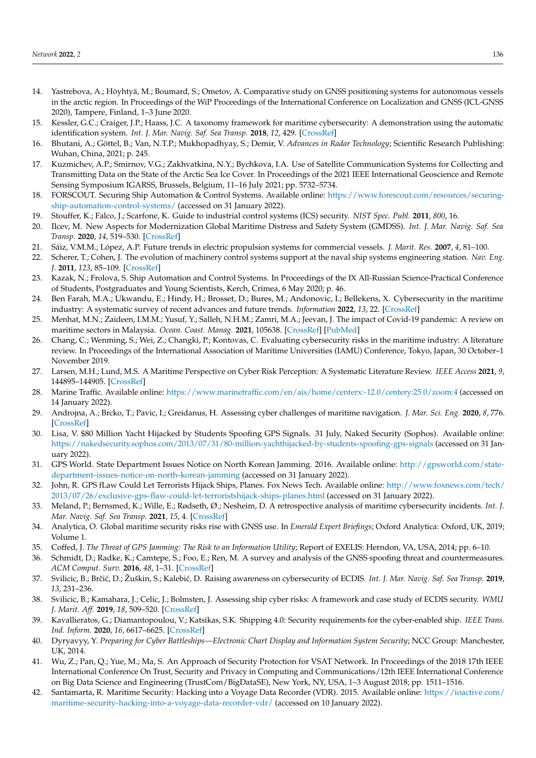- <span id="page-13-0"></span>14. Yastrebova, A.; Höyhtyä, M.; Boumard, S.; Ometov, A. Comparative study on GNSS positioning systems for autonomous vessels in the arctic region. In Proceedings of the WiP Proceedings of the International Conference on Localization and GNSS (ICL-GNSS 2020), Tampere, Finland, 1–3 June 2020.
- <span id="page-13-1"></span>15. Kessler, G.C.; Craiger, J.P.; Haass, J.C. A taxonomy framework for maritime cybersecurity: A demonstration using the automatic identification system. *Int. J. Mar. Navig. Saf. Sea Transp.* **2018**, *12*, 429. [\[CrossRef\]](http://dx.doi.org/10.12716/1001.12.03.01)
- <span id="page-13-2"></span>16. Bhutani, A.; Göttel, B.; Van, N.T.P.; Mukhopadhyay, S.; Demir, V. Advances in Radar Technology; Scientific Research Publishing: Wuhan, China, 2021; p. 245.
- <span id="page-13-3"></span>17. Kuzmichev, A.P.; Smirnov, V.G.; Zakhvatkina, N.Y.; Bychkova, I.A. Use of Satellite Communication Systems for Collecting and Transmitting Data on the State of the Arctic Sea Ice Cover. In Proceedings of the 2021 IEEE International Geoscience and Remote Sensing Symposium IGARSS, Brussels, Belgium, 11–16 July 2021; pp. 5732–5734.
- <span id="page-13-4"></span>18. FORSCOUT. Securing Ship Automation & Control Systems. Available online: [https://www.forescout.com/resources/securing](https://www.forescout.com/resources/securing-ship-automation-control-systems/)[ship-automation-control-systems/](https://www.forescout.com/resources/securing-ship-automation-control-systems/) (accessed on 31 January 2022).
- <span id="page-13-5"></span>19. Stouffer, K.; Falco, J.; Scarfone, K. Guide to industrial control systems (ICS) security. *NIST Spec. Publ.* **2011**, *800*, 16.
- <span id="page-13-6"></span>20. Ilcev, M. New Aspects for Modernization Global Maritime Distress and Safety System (GMDSS). *Int. J. Mar. Navig. Saf. Sea Transp.* **2020**, *14*, 519–530. [\[CrossRef\]](http://dx.doi.org/10.12716/1001.14.04.26)
- <span id="page-13-7"></span>21. Sáiz, V.M.M.; López, A.P. Future trends in electric propulsion systems for commercial vessels. *J. Marit. Res.* 2007, 4, 81–100.
- <span id="page-13-8"></span>22. Scherer, T.; Cohen, J. The evolution of machinery control systems support at the naval ship systems engineering station. *Nav. Eng. J.* **2011**, *123*, 85–109. [\[CrossRef\]](http://dx.doi.org/10.1111/j.1559-3584.2011.00321.x)
- <span id="page-13-9"></span>23. Kazak, N.; Frolova, S. Ship Automation and Control Systems. In Proceedings of the IX All-Russian Science-Practical Conference of Students, Postgraduates and Young Scientists, Kerch, Crimea, 6 May 2020; p. 46.
- <span id="page-13-10"></span>24. Ben Farah, M.A.; Ukwandu, E.; Hindy, H.; Brosset, D.; Bures, M.; Andonovic, I.; Bellekens, X. Cybersecurity in the maritime industry: A systematic survey of recent advances and future trends. *Information* **2022**, *13*, 22. [\[CrossRef\]](http://dx.doi.org/10.3390/info13010022)
- <span id="page-13-12"></span>25. Menhat, M.N.; Zaideen, I.M.M.; Yusuf, Y.; Salleh, N.H.M.; Zamri, M.A.; Jeevan, J. The impact of Covid-19 pandemic: A review on maritime sectors in Malaysia. *Ocean. Coast. Manag.* **2021**, 105638. [\[CrossRef\]](http://dx.doi.org/10.1016/j.ocecoaman.2021.105638) [\[PubMed\]](http://www.ncbi.nlm.nih.gov/pubmed/33897122)
- 26. Chang, C.; Wenming, S.; Wei, Z.; Changki, P.; Kontovas, C. Evaluating cybersecurity risks in the maritime industry: A literature review. In Proceedings of the International Association of Maritime Universities (IAMU) Conference, Tokyo, Japan, 30 October–1 November 2019.
- <span id="page-13-11"></span>27. Larsen, M.H.; Lund, M.S. A Maritime Perspective on Cyber Risk Perception: A Systematic Literature Review. *IEEE Access* **2021**, *9*, 144895–144905. [\[CrossRef\]](http://dx.doi.org/10.1109/ACCESS.2021.3122433)
- <span id="page-13-13"></span>28. Marine Traffic. Available online: <https://www.marinetraffic.com/en/ais/home/centerx:-12.0/centery:25.0/zoom:4> (accessed on 14 January 2022).
- <span id="page-13-14"></span>29. Androjna, A.; Brcko, T.; Pavic, I.; Greidanus, H. Assessing cyber challenges of maritime navigation. *J. Mar. Sci. Eng.* **2020**, *8*, 776. [\[CrossRef\]](http://dx.doi.org/10.3390/jmse8100776)
- <span id="page-13-15"></span>30. Lisa, V. \$80 Million Yacht Hijacked by Students Spoofing GPS Signals. 31 July, Naked Security (Sophos). Available online: <https://nakedsecurity.sophos.com/2013/07/31/80-million-yachthijacked-by-students-spoofing-gps-signals> (accessed on 31 January 2022).
- 31. GPS World. State Department Issues Notice on North Korean Jamming. 2016. Available online: [http://gpsworld.com/state](http://gpsworld.com/state-department-issues-notice-on-north-korean-jamming)[department-issues-notice-on-north-korean-jamming](http://gpsworld.com/state-department-issues-notice-on-north-korean-jamming) (accessed on 31 January 2022).
- <span id="page-13-16"></span>32. John, R. GPS fLaw Could Let Terrorists Hijack Ships, Planes. Fox News Tech. Available online: [http://www.foxnews.com/tech/](http://www.foxnews.com/tech/2013/07/26/exclusive-gps-flaw-could-let-terroristshijack-ships-planes.html) [2013/07/26/exclusive-gps-flaw-could-let-terroristshijack-ships-planes.html](http://www.foxnews.com/tech/2013/07/26/exclusive-gps-flaw-could-let-terroristshijack-ships-planes.html) (accessed on 31 January 2022).
- <span id="page-13-17"></span>33. Meland, P.; Bernsmed, K.; Wille, E.; Rødseth, Ø.; Nesheim, D. A retrospective analysis of maritime cybersecurity incidents. *Int. J. Mar. Navig. Saf. Sea Transp.* **2021**, *15*, 4. [\[CrossRef\]](http://dx.doi.org/10.12716/1001.15.03.04)
- <span id="page-13-18"></span>34. Analytica, O. Global maritime security risks rise with GNSS use. In *Emerald Expert Briefings*; Oxford Analytica: Oxford, UK, 2019; Volume 1.
- <span id="page-13-19"></span>35. Coffed, J. *The Threat of GPS Jamming: The Risk to an Information Utility*; Report of EXELIS: Herndon, VA, USA, 2014; pp. 6–10.
- <span id="page-13-20"></span>36. Schmidt, D.; Radke, K.; Camtepe, S.; Foo, E.; Ren, M. A survey and analysis of the GNSS spoofing threat and countermeasures. *ACM Comput. Surv.* **2016**, *48*, 1–31. [\[CrossRef\]](http://dx.doi.org/10.1145/2897166)
- <span id="page-13-21"></span>37. Svilicic, B.; Brčić, D.; Žuškin, S.; Kalebić, D. Raising awareness on cybersecurity of ECDIS. *Int. J. Mar. Navig. Saf. Sea Transp.* 2019, *13*, 231–236.
- <span id="page-13-23"></span>38. Svilicic, B.; Kamahara, J.; Celic, J.; Bolmsten, J. Assessing ship cyber risks: A framework and case study of ECDIS security. *WMU J. Marit. Aff.* **2019**, *18*, 509–520. [\[CrossRef\]](http://dx.doi.org/10.1007/s13437-019-00183-x)
- <span id="page-13-24"></span>39. Kavallieratos, G.; Diamantopoulou, V.; Katsikas, S.K. Shipping 4.0: Security requirements for the cyber-enabled ship. *IEEE Trans. Ind. Inform.* **2020**, *16*, 6617–6625. [\[CrossRef\]](http://dx.doi.org/10.1109/TII.2020.2976840)
- <span id="page-13-22"></span>40. Dyryavyy, Y. *Preparing for Cyber Battleships—Electronic Chart Display and Information System Security*; NCC Group: Manchester, UK, 2014.
- <span id="page-13-25"></span>41. Wu, Z.; Pan, Q.; Yue, M.; Ma, S. An Approach of Security Protection for VSAT Network. In Proceedings of the 2018 17th IEEE International Conference On Trust, Security and Privacy in Computing and Communications/12th IEEE International Conference on Big Data Science and Engineering (TrustCom/BigDataSE), New York, NY, USA, 1–3 August 2018; pp. 1511–1516.
- <span id="page-13-26"></span>42. Santamarta, R. Maritime Security: Hacking into a Voyage Data Recorder (VDR). 2015. Available online: [https://ioactive.com/](https://ioactive.com/maritime-security-hacking-into-a-voyage-data-recorder-vdr/) [maritime-security-hacking-into-a-voyage-data-recorder-vdr/](https://ioactive.com/maritime-security-hacking-into-a-voyage-data-recorder-vdr/) (accessed on 10 January 2022).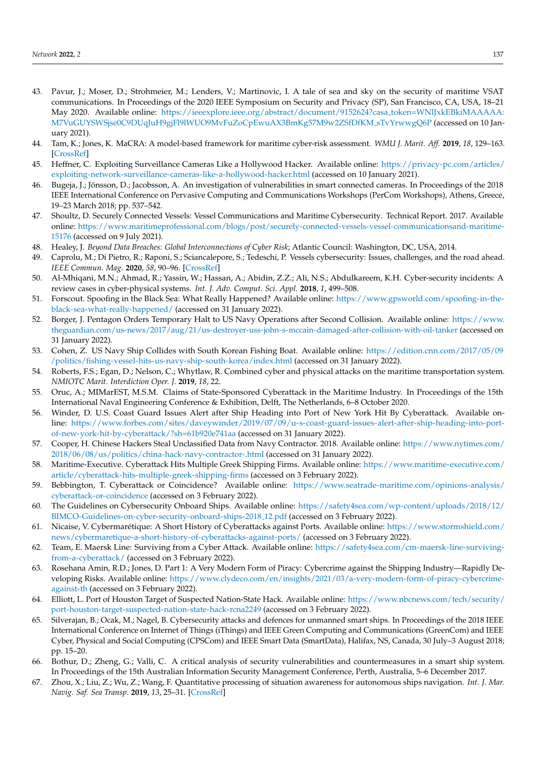- <span id="page-14-0"></span>43. Pavur, J.; Moser, D.; Strohmeier, M.; Lenders, V.; Martinovic, I. A tale of sea and sky on the security of maritime VSAT communications. In Proceedings of the 2020 IEEE Symposium on Security and Privacy (SP), San Francisco, CA, USA, 18–21 May 2020. Available online: [https://ieeexplore.ieee.org/abstract/document/9152624?casa](https://ieeexplore.ieee.org/abstract/document/9152624?casa_token=WNlJxkEBkiMAAAAA:M7VuGUYSWSjse0C9DUqJuH9gjFl9lWUO9MvFuZoCpEwuAX3BmKg57M9w2ZSfDfKM_sTvYrwwgQ6P) token=WNlJxkEBkiMAAAAA: [M7VuGUYSWSjse0C9DUqJuH9gjFl9lWUO9MvFuZoCpEwuAX3BmKg57M9w2ZSfDfKM](https://ieeexplore.ieee.org/abstract/document/9152624?casa_token=WNlJxkEBkiMAAAAA:M7VuGUYSWSjse0C9DUqJuH9gjFl9lWUO9MvFuZoCpEwuAX3BmKg57M9w2ZSfDfKM_sTvYrwwgQ6P) sTvYrwwgQ6P (accessed on 10 January 2021).
- <span id="page-14-1"></span>44. Tam, K.; Jones, K. MaCRA: A model-based framework for maritime cyber-risk assessment. *WMU J. Marit. Aff.* **2019**, *18*, 129–163. [\[CrossRef\]](http://dx.doi.org/10.1007/s13437-019-00162-2)
- <span id="page-14-2"></span>45. Heffner, C. Exploiting Surveillance Cameras Like a Hollywood Hacker. Available online: [https://privacy-pc.com/articles/](https://privacy-pc.com/articles/exploiting-network-surveillance-cameras-like-a-hollywood-hacker.html) [exploiting-network-surveillance-cameras-like-a-hollywood-hacker.html](https://privacy-pc.com/articles/exploiting-network-surveillance-cameras-like-a-hollywood-hacker.html) (accessed on 10 January 2021).
- <span id="page-14-3"></span>46. Bugeja, J.; Jönsson, D.; Jacobsson, A. An investigation of vulnerabilities in smart connected cameras. In Proceedings of the 2018 IEEE International Conference on Pervasive Computing and Communications Workshops (PerCom Workshops), Athens, Greece, 19–23 March 2018; pp. 537–542.
- <span id="page-14-4"></span>47. Shoultz, D. Securely Connected Vessels: Vessel Communications and Maritime Cybersecurity. Technical Report. 2017. Available online: [https://www.maritimeprofessional.com/blogs/post/securely-connected-vessels-vessel-communicationsand-maritime-](https://www.maritimeprofessional.com/blogs/post/securely-connected-vessels-vessel-communicationsand-maritime-15176)[15176](https://www.maritimeprofessional.com/blogs/post/securely-connected-vessels-vessel-communicationsand-maritime-15176) (accessed on 9 July 2021).
- <span id="page-14-5"></span>48. Healey, J. *Beyond Data Breaches: Global Interconnections of Cyber Risk*; Atlantic Council: Washington, DC, USA, 2014.
- <span id="page-14-6"></span>49. Caprolu, M.; Di Pietro, R.; Raponi, S.; Sciancalepore, S.; Tedeschi, P. Vessels cybersecurity: Issues, challenges, and the road ahead. *IEEE Commun. Mag.* **2020**, *58*, 90–96. [\[CrossRef\]](http://dx.doi.org/10.1109/MCOM.001.1900632)
- <span id="page-14-7"></span>50. Al-Mhiqani, M.N.; Ahmad, R.; Yassin, W.; Hassan, A.; Abidin, Z.Z.; Ali, N.S.; Abdulkareem, K.H. Cyber-security incidents: A review cases in cyber-physical systems. *Int. J. Adv. Comput. Sci. Appl.* **2018**, *1*, 499–508.
- <span id="page-14-8"></span>51. Forscout. Spoofing in the Black Sea: What Really Happened? Available online: [https://www.gpsworld.com/spoofing-in-the](https://www.gpsworld.com/spoofing-in-the-black-sea-what-really-happened/)[black-sea-what-really-happened/](https://www.gpsworld.com/spoofing-in-the-black-sea-what-really-happened/) (accessed on 31 January 2022).
- <span id="page-14-9"></span>52. Borger, J. Pentagon Orders Temporary Halt to US Navy Operations after Second Collision. Available online: [https://www.](https://www.theguardian.com/us-news/2017/aug/21/us-destroyer-uss-john-s-mccain-damaged-after-collision-with-oil-tanker) [theguardian.com/us-news/2017/aug/21/us-destroyer-uss-john-s-mccain-damaged-after-collision-with-oil-tanker](https://www.theguardian.com/us-news/2017/aug/21/us-destroyer-uss-john-s-mccain-damaged-after-collision-with-oil-tanker) (accessed on 31 January 2022).
- <span id="page-14-11"></span>53. Cohen, Z. US Navy Ship Collides with South Korean Fishing Boat. Available online: [https://edition.cnn.com/2017/05/09](https://edition.cnn.com/2017/05/09/politics/fishing-vessel-hits-us-navy-ship-south-korea/index.html) [/politics/fishing-vessel-hits-us-navy-ship-south-korea/index.html](https://edition.cnn.com/2017/05/09/politics/fishing-vessel-hits-us-navy-ship-south-korea/index.html) (accessed on 31 January 2022).
- <span id="page-14-10"></span>54. Roberts, F.S.; Egan, D.; Nelson, C.; Whytlaw, R. Combined cyber and physical attacks on the maritime transportation system. *NMIOTC Marit. Interdiction Oper. J.* **2019**, *18*, 22.
- <span id="page-14-12"></span>55. Oruc, A.; MIMarEST, M.S.M. Claims of State-Sponsored Cyberattack in the Maritime Industry. In Proceedings of the 15th International Naval Engineering Conference & Exhibition, Delft, The Netherlands, 6–8 October 2020.
- <span id="page-14-13"></span>56. Winder, D. U.S. Coast Guard Issues Alert after Ship Heading into Port of New York Hit By Cyberattack. Available online: [https://www.forbes.com/sites/daveywinder/2019/07/09/u-s-coast-guard-issues-alert-after-ship-heading-into-port](https://www.forbes.com/sites/daveywinder/2019/07/09/u-s-coast-guard-issues-alert-after-ship-heading-into-port-of-new-york-hit-by-cyberattack/?sh=61b920e741aa)[of-new-york-hit-by-cyberattack/?sh=61b920e741aa](https://www.forbes.com/sites/daveywinder/2019/07/09/u-s-coast-guard-issues-alert-after-ship-heading-into-port-of-new-york-hit-by-cyberattack/?sh=61b920e741aa) (accessed on 31 January 2022).
- <span id="page-14-14"></span>57. Cooper, H. Chinese Hackers Steal Unclassified Data from Navy Contractor. 2018. Available online: [https://www.nytimes.com/](https://www.nytimes.com/2018/06/08/us/politics/china-hack-navy-contractor-.html) [2018/06/08/us/politics/china-hack-navy-contractor-.html](https://www.nytimes.com/2018/06/08/us/politics/china-hack-navy-contractor-.html) (accessed on 31 January 2022).
- <span id="page-14-15"></span>58. Maritime-Executive. Cyberattack Hits Multiple Greek Shipping Firms. Available online: [https://www.maritime-executive.com/](https://www.maritime-executive.com/article/cyberattack-hits-multiple-greek-shipping-firms) [article/cyberattack-hits-multiple-greek-shipping-firms](https://www.maritime-executive.com/article/cyberattack-hits-multiple-greek-shipping-firms) (accessed on 3 February 2022).
- <span id="page-14-16"></span>59. Bebbington, T. Cyberattack or Coincidence? Available online: [https://www.seatrade-maritime.com/opinions-analysis/](https://www.seatrade-maritime.com/opinions-analysis/cyberattack-or-coincidence) [cyberattack-or-coincidence](https://www.seatrade-maritime.com/opinions-analysis/cyberattack-or-coincidence) (accessed on 3 February 2022).
- <span id="page-14-17"></span>60. The Guidelines on Cybersecurity Onboard Ships. Available online: [https://safety4sea.com/wp-content/uploads/2018/12/](https://safety4sea.com/wp-content/uploads/2018/12/BIMCO-Guidelines-on-cyber-security-onboard-ships-2018_12.pdf) [BIMCO-Guidelines-on-cyber-security-onboard-ships-2018](https://safety4sea.com/wp-content/uploads/2018/12/BIMCO-Guidelines-on-cyber-security-onboard-ships-2018_12.pdf) 12.pdf (accessed on 3 February 2022).
- <span id="page-14-18"></span>61. Nicaise, V. Cybermarétique: A Short History of Cyberattacks against Ports. Available online: [https://www.stormshield.com/](https://www.stormshield.com/news/cybermaretique-a-short-history-of-cyberattacks-against-ports/) [news/cybermaretique-a-short-history-of-cyberattacks-against-ports/](https://www.stormshield.com/news/cybermaretique-a-short-history-of-cyberattacks-against-ports/) (accessed on 3 February 2022).
- <span id="page-14-19"></span>62. Team, E. Maersk Line: Surviving from a Cyber Attack. Available online: [https://safety4sea.com/cm-maersk-line-surviving](https://safety4sea.com/cm-maersk-line-surviving-from-a-cyberattack/)[from-a-cyberattack/](https://safety4sea.com/cm-maersk-line-surviving-from-a-cyberattack/) (accessed on 3 February 2022).
- <span id="page-14-20"></span>63. Rosehana Amin, R.D.; Jones, D. Part 1: A Very Modern Form of Piracy: Cybercrime against the Shipping Industry—Rapidly Developing Risks. Available online: [https://www.clydeco.com/en/insights/2021/03/a-very-modern-form-of-piracy-cybercrime](https://www.clydeco.com/en/insights/2021/03/a-very-modern-form-of-piracy-cybercrime-against-th)[against-th](https://www.clydeco.com/en/insights/2021/03/a-very-modern-form-of-piracy-cybercrime-against-th) (accessed on 3 February 2022).
- <span id="page-14-21"></span>64. Elliott, L. Port of Houston Target of Suspected Nation-State Hack. Available online: [https://www.nbcnews.com/tech/security/](https://www.nbcnews.com/tech/security/port-houston-target-suspected-nation-state-hack-rcna2249) [port-houston-target-suspected-nation-state-hack-rcna2249](https://www.nbcnews.com/tech/security/port-houston-target-suspected-nation-state-hack-rcna2249) (accessed on 3 February 2022).
- <span id="page-14-22"></span>65. Silverajan, B.; Ocak, M.; Nagel, B. Cybersecurity attacks and defences for unmanned smart ships. In Proceedings of the 2018 IEEE International Conference on Internet of Things (iThings) and IEEE Green Computing and Communications (GreenCom) and IEEE Cyber, Physical and Social Computing (CPSCom) and IEEE Smart Data (SmartData), Halifax, NS, Canada, 30 July–3 August 2018; pp. 15–20.
- <span id="page-14-23"></span>66. Bothur, D.; Zheng, G.; Valli, C. A critical analysis of security vulnerabilities and countermeasures in a smart ship system. In Proceedings of the 15th Australian Information Security Management Conference, Perth, Australia, 5–6 December 2017.
- <span id="page-14-24"></span>67. Zhou, X.; Liu, Z.; Wu, Z.; Wang, F. Quantitative processing of situation awareness for autonomous ships navigation. *Int. J. Mar. Navig. Saf. Sea Transp.* **2019**, *13*, 25–31. [\[CrossRef\]](http://dx.doi.org/10.12716/1001.13.01.01)